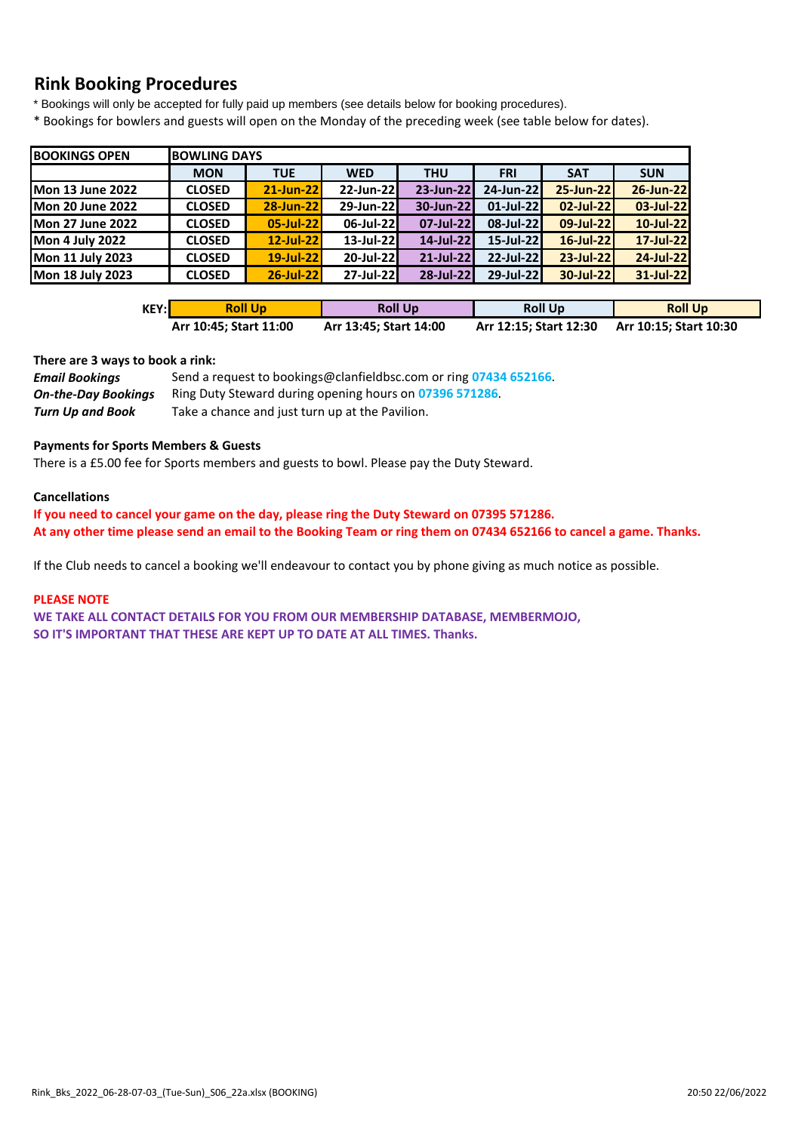# **Rink Booking Procedures**

\* Bookings will only be accepted for fully paid up members (see details below for booking procedures).

\* Bookings for bowlers and guests will open on the Monday of the preceding week (see table below for dates).

| <b>BOOKINGS OPEN</b>    |               | <b>BOWLING DAYS</b> |              |            |              |            |            |  |  |  |  |  |  |
|-------------------------|---------------|---------------------|--------------|------------|--------------|------------|------------|--|--|--|--|--|--|
|                         | <b>MON</b>    | <b>TUE</b>          | <b>WED</b>   | <b>THU</b> | <b>FRI</b>   | <b>SAT</b> | <b>SUN</b> |  |  |  |  |  |  |
| <b>Mon 13 June 2022</b> | <b>CLOSED</b> | 21-Jun-22           | 22-Jun-22    | 23-Jun-22  | 24-Jun-22    | 25-Jun-22  | 26-Jun-22  |  |  |  |  |  |  |
| <b>Mon 20 June 2022</b> | <b>CLOSED</b> | 28-Jun-22           | 29-Jun-22    | 30-Jun-22  | $01$ -Jul-22 | 02-Jul-22  | 03-Jul-22  |  |  |  |  |  |  |
| <b>Mon 27 June 2022</b> | <b>CLOSED</b> | 05-Jul-22           | 06-Jul-22    | 07-Jul-22  | 08-Jul-22    | 09-Jul-22  | 10-Jul-22  |  |  |  |  |  |  |
| <b>Mon 4 July 2022</b>  | <b>CLOSED</b> | 12-Jul-22           | $13$ -Jul-22 | 14-Jul-22  | $15$ -Jul-22 | 16-Jul-22  | 17-Jul-22  |  |  |  |  |  |  |
| Mon 11 July 2023        | <b>CLOSED</b> | 19-Jul-22           | 20-Jul-22    | 21-Jul-22  | 22-Jul-22    | 23-Jul-22  | 24-Jul-22  |  |  |  |  |  |  |
| <b>Mon 18 July 2023</b> | <b>CLOSED</b> | 26-Jul-22           | $27$ -Jul-22 | 28-Jul-22  | 29-Jul-22    | 30-Jul-22  | 31-Jul-22  |  |  |  |  |  |  |

| KEY:l | <b>Roll Up</b>         | <b>Roll Up</b>         | <b>Roll Up</b>         | <b>Roll Up</b>         |
|-------|------------------------|------------------------|------------------------|------------------------|
|       | Arr 10:45; Start 11:00 | Arr 13:45; Start 14:00 | Arr 12:15; Start 12:30 | Arr 10:15; Start 10:30 |

#### **There are 3 ways to book a rink:**

| <b>Email Bookings</b>      | Send a request to bookings@clanfieldbsc.com or ring 07434 652166. |
|----------------------------|-------------------------------------------------------------------|
| <b>On-the-Day Bookings</b> | Ring Duty Steward during opening hours on 07396 571286.           |
| Turn Up and Book           | Take a chance and just turn up at the Pavilion.                   |

#### **Payments for Sports Members & Guests**

There is a £5.00 fee for Sports members and guests to bowl. Please pay the Duty Steward.

#### **Cancellations**

**If you need to cancel your game on the day, please ring the Duty Steward on 07395 571286. At any other time please send an email to the Booking Team or ring them on 07434 652166 to cancel a game. Thanks.**

If the Club needs to cancel a booking we'll endeavour to contact you by phone giving as much notice as possible.

#### **PLEASE NOTE**

**WE TAKE ALL CONTACT DETAILS FOR YOU FROM OUR MEMBERSHIP DATABASE, MEMBERMOJO, SO IT'S IMPORTANT THAT THESE ARE KEPT UP TO DATE AT ALL TIMES. Thanks.**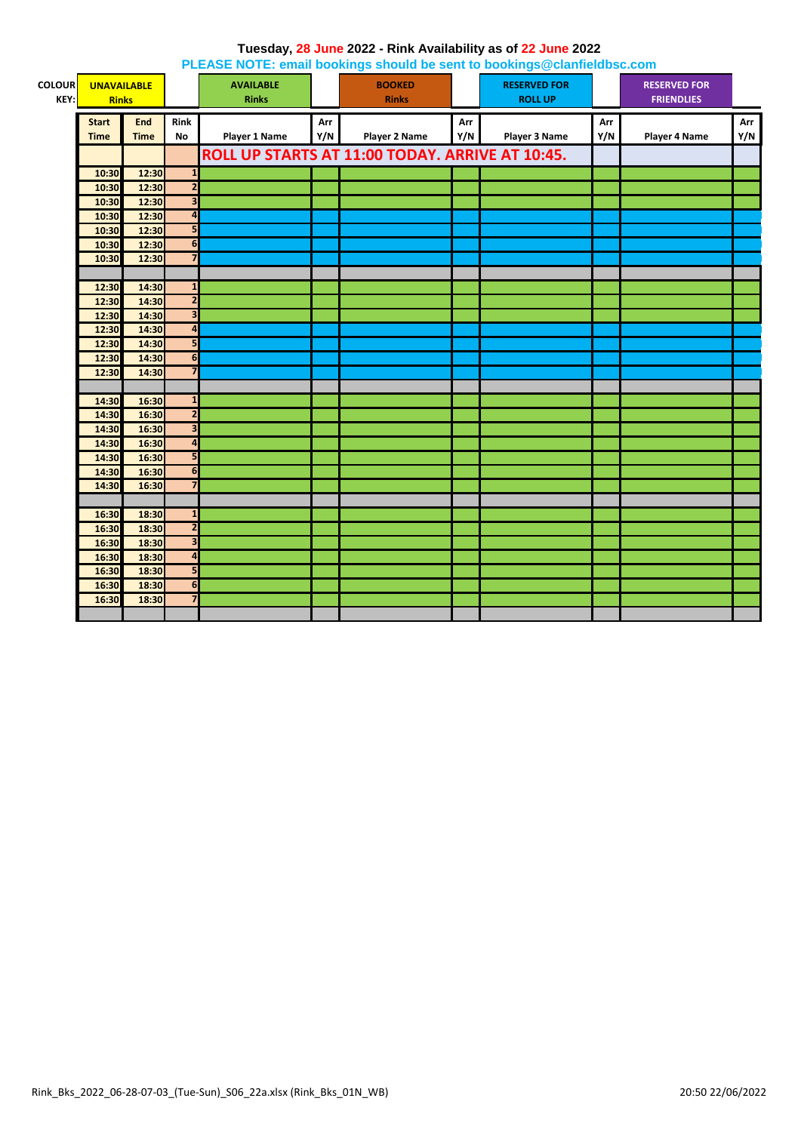|               |                    |             |                         | <b>I LLAOL NOTE: Chian bookings should be sent to bookings @ciannelabsc.com</b> |     |                                                 |     |                      |     |                      |     |
|---------------|--------------------|-------------|-------------------------|---------------------------------------------------------------------------------|-----|-------------------------------------------------|-----|----------------------|-----|----------------------|-----|
| <b>COLOUR</b> | <b>UNAVAILABLE</b> |             |                         | <b>AVAILABLE</b>                                                                |     | <b>BOOKED</b>                                   |     | <b>RESERVED FOR</b>  |     | <b>RESERVED FOR</b>  |     |
| KEY:          | <b>Rinks</b>       |             |                         | <b>Rinks</b>                                                                    |     | <b>Rinks</b>                                    |     | <b>ROLL UP</b>       |     | <b>FRIENDLIES</b>    |     |
|               | <b>Start</b>       | <b>End</b>  | Rink                    |                                                                                 | Arr |                                                 | Arr |                      | Arr |                      | Arr |
|               | <b>Time</b>        | <b>Time</b> | <b>No</b>               | <b>Player 1 Name</b>                                                            | Y/N | <b>Player 2 Name</b>                            | Y/N | <b>Player 3 Name</b> | Y/N | <b>Player 4 Name</b> | Y/N |
|               |                    |             |                         |                                                                                 |     |                                                 |     |                      |     |                      |     |
|               |                    |             |                         |                                                                                 |     | ROLL UP STARTS AT 11:00 TODAY. ARRIVE AT 10:45. |     |                      |     |                      |     |
|               | 10:30              | 12:30       | $\mathbf{1}$            |                                                                                 |     |                                                 |     |                      |     |                      |     |
|               | 10:30              | 12:30       | $\overline{2}$          |                                                                                 |     |                                                 |     |                      |     |                      |     |
|               | 10:30              | 12:30       | $\overline{\mathbf{3}}$ |                                                                                 |     |                                                 |     |                      |     |                      |     |
|               | 10:30              | 12:30       | $\overline{\mathbf{A}}$ |                                                                                 |     |                                                 |     |                      |     |                      |     |
|               | 10:30              | 12:30       | 5                       |                                                                                 |     |                                                 |     |                      |     |                      |     |
|               | 10:30              | 12:30       | 6                       |                                                                                 |     |                                                 |     |                      |     |                      |     |
|               | 10:30              | 12:30       | $\overline{\mathbf{z}}$ |                                                                                 |     |                                                 |     |                      |     |                      |     |
|               |                    |             |                         |                                                                                 |     |                                                 |     |                      |     |                      |     |
|               | 12:30              | 14:30       | $\mathbf 1$             |                                                                                 |     |                                                 |     |                      |     |                      |     |
|               | 12:30              | 14:30       | $\overline{\mathbf{c}}$ |                                                                                 |     |                                                 |     |                      |     |                      |     |
|               | 12:30              | 14:30       | $\overline{\mathbf{3}}$ |                                                                                 |     |                                                 |     |                      |     |                      |     |
|               | 12:30              | 14:30       | $\overline{\mathbf{a}}$ |                                                                                 |     |                                                 |     |                      |     |                      |     |
|               | 12:30              | 14:30       | 5                       |                                                                                 |     |                                                 |     |                      |     |                      |     |
|               | 12:30              | 14:30       | 6                       |                                                                                 |     |                                                 |     |                      |     |                      |     |
|               | 12:30              | 14:30       | $\overline{\mathbf{z}}$ |                                                                                 |     |                                                 |     |                      |     |                      |     |
|               |                    |             |                         |                                                                                 |     |                                                 |     |                      |     |                      |     |
|               | 14:30              | 16:30       | $\mathbf{1}$            |                                                                                 |     |                                                 |     |                      |     |                      |     |
|               | 14:30              | 16:30       | $\overline{2}$          |                                                                                 |     |                                                 |     |                      |     |                      |     |
|               | 14:30              | 16:30       | $\overline{\mathbf{3}}$ |                                                                                 |     |                                                 |     |                      |     |                      |     |
|               | 14:30              | 16:30       | $\overline{\mathbf{a}}$ |                                                                                 |     |                                                 |     |                      |     |                      |     |
|               | 14:30              | 16:30       | 5                       |                                                                                 |     |                                                 |     |                      |     |                      |     |
|               | 14:30              | 16:30       | 6                       |                                                                                 |     |                                                 |     |                      |     |                      |     |
|               | 14:30              | 16:30       | $\overline{7}$          |                                                                                 |     |                                                 |     |                      |     |                      |     |
|               |                    |             |                         |                                                                                 |     |                                                 |     |                      |     |                      |     |
|               | 16:30              | 18:30       | $\mathbf{1}$            |                                                                                 |     |                                                 |     |                      |     |                      |     |
|               | 16:30              | 18:30       | $\overline{2}$          |                                                                                 |     |                                                 |     |                      |     |                      |     |
|               | 16:30              | 18:30       | $\overline{\mathbf{3}}$ |                                                                                 |     |                                                 |     |                      |     |                      |     |
|               | 16:30              | 18:30       | $\overline{a}$          |                                                                                 |     |                                                 |     |                      |     |                      |     |
|               | 16:30              | 18:30       | 5                       |                                                                                 |     |                                                 |     |                      |     |                      |     |
|               | 16:30              | 18:30       | 6                       |                                                                                 |     |                                                 |     |                      |     |                      |     |
|               | 16:30              | 18:30       | $\overline{7}$          |                                                                                 |     |                                                 |     |                      |     |                      |     |
|               |                    |             |                         |                                                                                 |     |                                                 |     |                      |     |                      |     |

#### **Tuesday, 28 June 2022 - Rink Availability as of 22 June 2022 PLEASE NOTE: email bookings should be sent to bookings@clanfieldbsc.com**

Rink\_Bks\_2022\_06-28-07-03\_(Tue-Sun)\_S06\_22a.xlsx (Rink\_Bks\_01N\_WB) 20:50 22/06/2022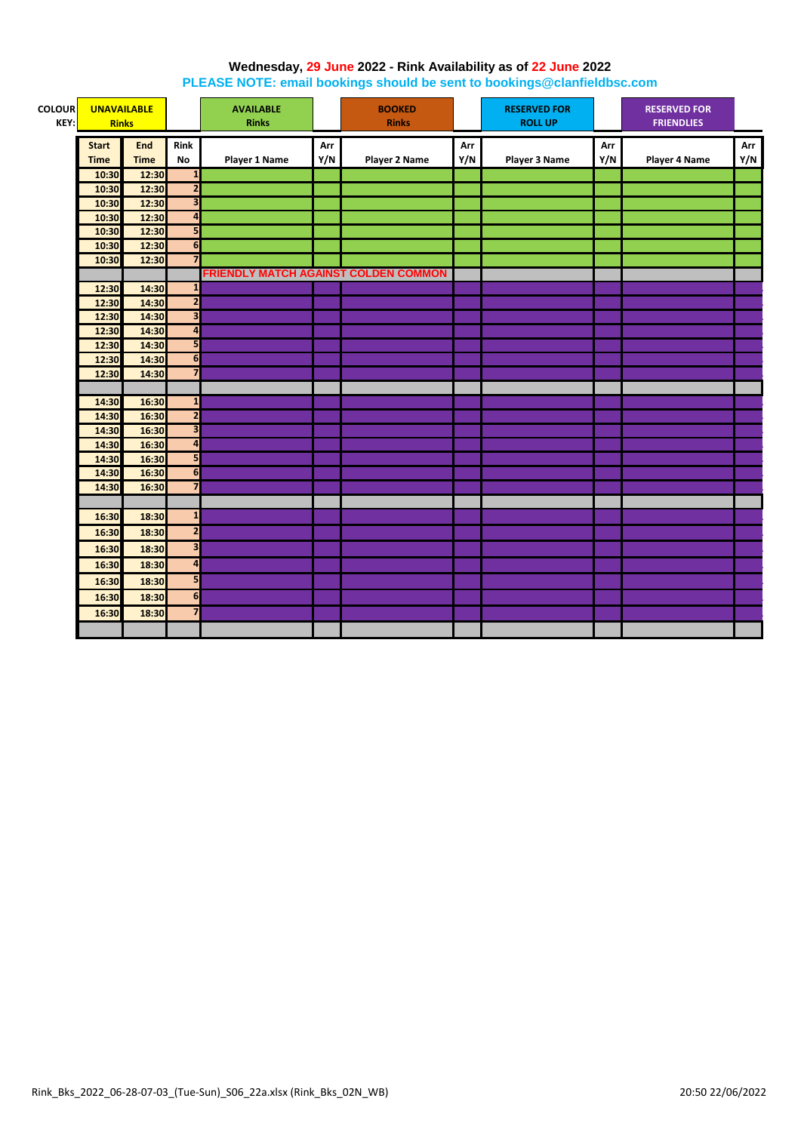#### **Wednesday, 29 June 2022 - Rink Availability as of 22 June 2022**

**PLEASE NOTE: email bookings should be sent to bookings@clanfieldbsc.com**

| <b>COLOUR</b><br>KEY: | <b>UNAVAILABLE</b><br><b>Rinks</b> |                |                              | <b>AVAILABLE</b><br><b>Rinks</b>     |     | <b>BOOKED</b><br><b>Rinks</b> |     | <b>RESERVED FOR</b><br><b>ROLL UP</b> |     | <b>RESERVED FOR</b><br><b>FRIENDLIES</b> |     |
|-----------------------|------------------------------------|----------------|------------------------------|--------------------------------------|-----|-------------------------------|-----|---------------------------------------|-----|------------------------------------------|-----|
|                       |                                    |                |                              |                                      |     |                               |     |                                       |     |                                          |     |
|                       | <b>Start</b>                       | <b>End</b>     | Rink                         |                                      | Arr |                               | Arr |                                       | Arr |                                          | Arr |
|                       | <b>Time</b>                        | <b>Time</b>    | No                           | Player 1 Name                        | Y/N | <b>Player 2 Name</b>          | Y/N | <b>Player 3 Name</b>                  | Y/N | Player 4 Name                            | Y/N |
|                       | 10:30                              | 12:30          | $\overline{1}$               |                                      |     |                               |     |                                       |     |                                          |     |
|                       | 10:30                              | 12:30          | $\overline{\mathbf{c}}$      |                                      |     |                               |     |                                       |     |                                          |     |
|                       | 10:30                              | 12:30          | $\overline{\mathbf{3}}$      |                                      |     |                               |     |                                       |     |                                          |     |
|                       | 10:30                              | 12:30          | $\overline{\mathbf{a}}$<br>5 |                                      |     |                               |     |                                       |     |                                          |     |
|                       | 10:30                              | 12:30          | 6                            |                                      |     |                               |     |                                       |     |                                          |     |
|                       | 10:30<br>10:30                     | 12:30<br>12:30 | $\overline{7}$               |                                      |     |                               |     |                                       |     |                                          |     |
|                       |                                    |                |                              | FRIENDLY MATCH AGAINST COLDEN COMMON |     |                               |     |                                       |     |                                          |     |
|                       | 14:30<br>12:30                     |                | $\mathbf{1}$                 |                                      |     |                               |     |                                       |     |                                          |     |
|                       | 12:30                              | 14:30          | $\overline{\mathbf{2}}$      |                                      |     |                               |     |                                       |     |                                          |     |
|                       | 12:30                              | 14:30          | $\overline{\mathbf{3}}$      |                                      |     |                               |     |                                       |     |                                          |     |
|                       | 12:30                              | 14:30          | $\overline{a}$               |                                      |     |                               |     |                                       |     |                                          |     |
|                       | 12:30                              | 14:30          | 5                            |                                      |     |                               |     |                                       |     |                                          |     |
|                       | 12:30                              | 14:30          | 6                            |                                      |     |                               |     |                                       |     |                                          |     |
|                       | 12:30                              | 14:30          | $\overline{\mathbf{z}}$      |                                      |     |                               |     |                                       |     |                                          |     |
|                       |                                    |                |                              |                                      |     |                               |     |                                       |     |                                          |     |
|                       | 14:30                              | 16:30          | $\mathbf{1}$                 |                                      |     |                               |     |                                       |     |                                          |     |
|                       | 14:30                              | 16:30          | $\overline{\mathbf{c}}$      |                                      |     |                               |     |                                       |     |                                          |     |
|                       | 14:30                              | 16:30          | $\overline{\mathbf{3}}$      |                                      |     |                               |     |                                       |     |                                          |     |
|                       | 14:30                              | 16:30          | $\overline{\mathbf{a}}$      |                                      |     |                               |     |                                       |     |                                          |     |
|                       | 14:30                              | 16:30          | 5                            |                                      |     |                               |     |                                       |     |                                          |     |
|                       | 14:30                              | 16:30          | $\overline{\mathbf{6}}$      |                                      |     |                               |     |                                       |     |                                          |     |
|                       | 14:30                              | 16:30          | $\overline{7}$               |                                      |     |                               |     |                                       |     |                                          |     |
|                       |                                    |                |                              |                                      |     |                               |     |                                       |     |                                          |     |
|                       | 16:30                              | 18:30          | $\mathbf{1}$                 |                                      |     |                               |     |                                       |     |                                          |     |
|                       | 16:30                              | 18:30          | $\overline{\mathbf{2}}$      |                                      |     |                               |     |                                       |     |                                          |     |
|                       |                                    |                | $\overline{\mathbf{3}}$      |                                      |     |                               |     |                                       |     |                                          |     |
|                       | 16:30                              | 18:30          |                              |                                      |     |                               |     |                                       |     |                                          |     |
|                       | 16:30                              | 18:30          | $\overline{\mathbf{a}}$      |                                      |     |                               |     |                                       |     |                                          |     |
|                       | 16:30                              | 18:30          | 5                            |                                      |     |                               |     |                                       |     |                                          |     |
|                       | 16:30                              | 18:30          | $\overline{\mathbf{6}}$      |                                      |     |                               |     |                                       |     |                                          |     |
|                       | 16:30                              | 18:30          | $\overline{7}$               |                                      |     |                               |     |                                       |     |                                          |     |
|                       |                                    |                |                              |                                      |     |                               |     |                                       |     |                                          |     |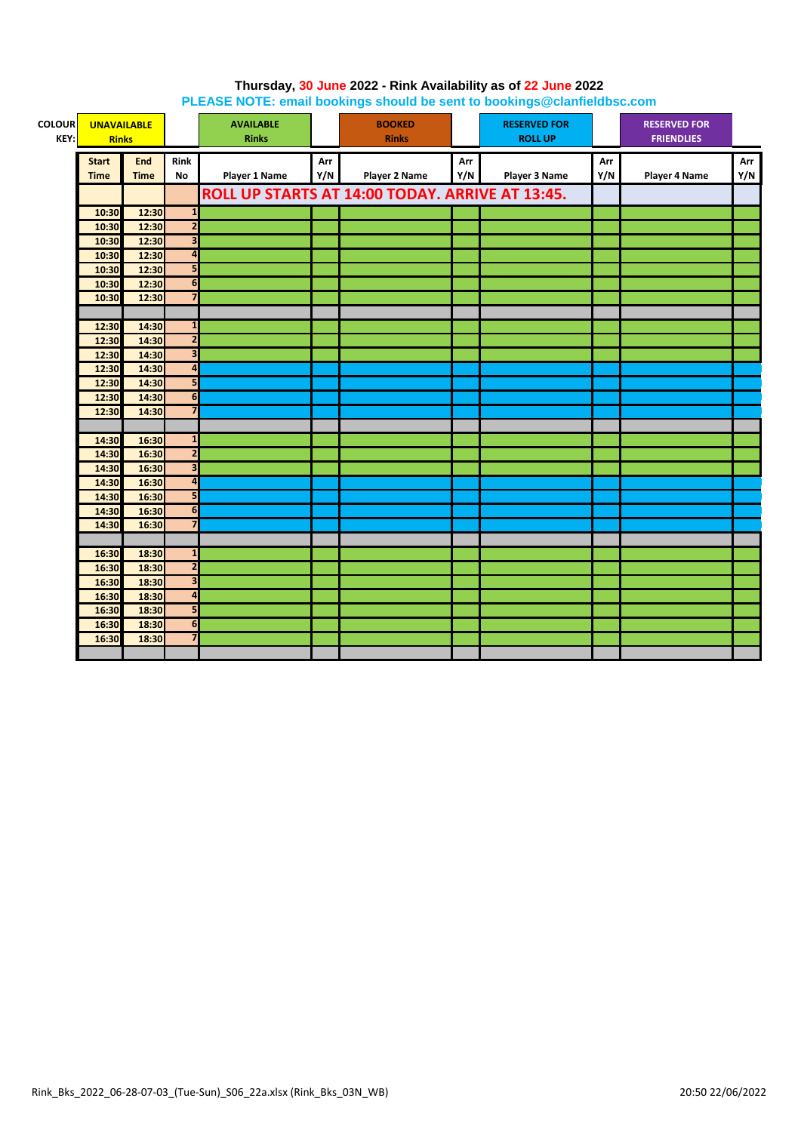| <b>COLOUR</b><br>KEY: | <b>UNAVAILABLE</b><br><b>Rinks</b> |                |                                                    | <b>AVAILABLE</b><br><b>Rinks</b> |     | <b>BOOKED</b><br><b>Rinks</b>                   |     | <b>RESERVED FOR</b><br><b>ROLL UP</b> |     | <b>RESERVED FOR</b><br><b>FRIENDLIES</b> |     |
|-----------------------|------------------------------------|----------------|----------------------------------------------------|----------------------------------|-----|-------------------------------------------------|-----|---------------------------------------|-----|------------------------------------------|-----|
|                       | <b>Start</b>                       | <b>End</b>     | <b>Rink</b>                                        |                                  | Arr |                                                 | Arr |                                       | Arr |                                          | Arr |
|                       | <b>Time</b>                        | <b>Time</b>    | No                                                 | <b>Player 1 Name</b>             | Y/N | <b>Player 2 Name</b>                            | Y/N | Player 3 Name                         | Y/N | Player 4 Name                            | Y/N |
|                       |                                    |                |                                                    |                                  |     | ROLL UP STARTS AT 14:00 TODAY. ARRIVE AT 13:45. |     |                                       |     |                                          |     |
|                       |                                    |                |                                                    |                                  |     |                                                 |     |                                       |     |                                          |     |
|                       | 10:30                              | 12:30          | $\mathbf{1}$                                       |                                  |     |                                                 |     |                                       |     |                                          |     |
|                       | 10:30                              | 12:30          | $\overline{2}$                                     |                                  |     |                                                 |     |                                       |     |                                          |     |
|                       | 10:30                              | 12:30          | $\overline{\mathbf{3}}$<br>$\overline{\mathbf{a}}$ |                                  |     |                                                 |     |                                       |     |                                          |     |
|                       | 10:30                              | 12:30<br>12:30 | 5                                                  |                                  |     |                                                 |     |                                       |     |                                          |     |
|                       | 10:30                              |                | 6                                                  |                                  |     |                                                 |     |                                       |     |                                          |     |
|                       | 10:30<br>10:30                     | 12:30<br>12:30 | $\overline{7}$                                     |                                  |     |                                                 |     |                                       |     |                                          |     |
|                       |                                    |                |                                                    |                                  |     |                                                 |     |                                       |     |                                          |     |
|                       | 12:30                              | 14:30          | $\mathbf{1}$                                       |                                  |     |                                                 |     |                                       |     |                                          |     |
|                       | 12:30                              | 14:30          | $\overline{2}$                                     |                                  |     |                                                 |     |                                       |     |                                          |     |
|                       | 12:30                              | 14:30          | $\overline{\mathbf{3}}$                            |                                  |     |                                                 |     |                                       |     |                                          |     |
|                       | 12:30                              | 14:30          | $\overline{\mathbf{a}}$                            |                                  |     |                                                 |     |                                       |     |                                          |     |
|                       | 12:30                              | 14:30          | 5                                                  |                                  |     |                                                 |     |                                       |     |                                          |     |
|                       | 12:30                              | 14:30          | 6                                                  |                                  |     |                                                 |     |                                       |     |                                          |     |
|                       | 12:30                              | 14:30          | $\overline{7}$                                     |                                  |     |                                                 |     |                                       |     |                                          |     |
|                       |                                    |                |                                                    |                                  |     |                                                 |     |                                       |     |                                          |     |
|                       | 14:30                              | 16:30          | $\mathbf{1}$                                       |                                  |     |                                                 |     |                                       |     |                                          |     |
|                       | 14:30                              | 16:30          | $\overline{2}$                                     |                                  |     |                                                 |     |                                       |     |                                          |     |
|                       | 14:30                              | 16:30          | $\overline{\mathbf{3}}$                            |                                  |     |                                                 |     |                                       |     |                                          |     |
|                       | 14:30                              | 16:30          | $\overline{\mathbf{a}}$                            |                                  |     |                                                 |     |                                       |     |                                          |     |
|                       | 14:30                              | 16:30          | 5                                                  |                                  |     |                                                 |     |                                       |     |                                          |     |
|                       | 14:30                              | 16:30          | 6                                                  |                                  |     |                                                 |     |                                       |     |                                          |     |
|                       | 14:30                              | 16:30          | $\overline{7}$                                     |                                  |     |                                                 |     |                                       |     |                                          |     |
|                       |                                    |                |                                                    |                                  |     |                                                 |     |                                       |     |                                          |     |
|                       | 16:30                              | 18:30          | $\mathbf{1}$                                       |                                  |     |                                                 |     |                                       |     |                                          |     |
|                       | 16:30                              | 18:30          | $\overline{2}$                                     |                                  |     |                                                 |     |                                       |     |                                          |     |
|                       | 16:30                              | 18:30          | 3                                                  |                                  |     |                                                 |     |                                       |     |                                          |     |
|                       | 16:30                              | 18:30          | $\overline{\mathbf{A}}$                            |                                  |     |                                                 |     |                                       |     |                                          |     |
|                       | 16:30                              | 18:30          | 5                                                  |                                  |     |                                                 |     |                                       |     |                                          |     |
|                       | 16:30                              | 18:30          | 6                                                  |                                  |     |                                                 |     |                                       |     |                                          |     |
|                       | 16:30                              | 18:30          | $\overline{\mathbf{z}}$                            |                                  |     |                                                 |     |                                       |     |                                          |     |
|                       |                                    |                |                                                    |                                  |     |                                                 |     |                                       |     |                                          |     |

### **Thursday, 30 June 2022 - Rink Availability as of 22 June 2022 PLEASE NOTE: email bookings should be sent to bookings@clanfieldbsc.com**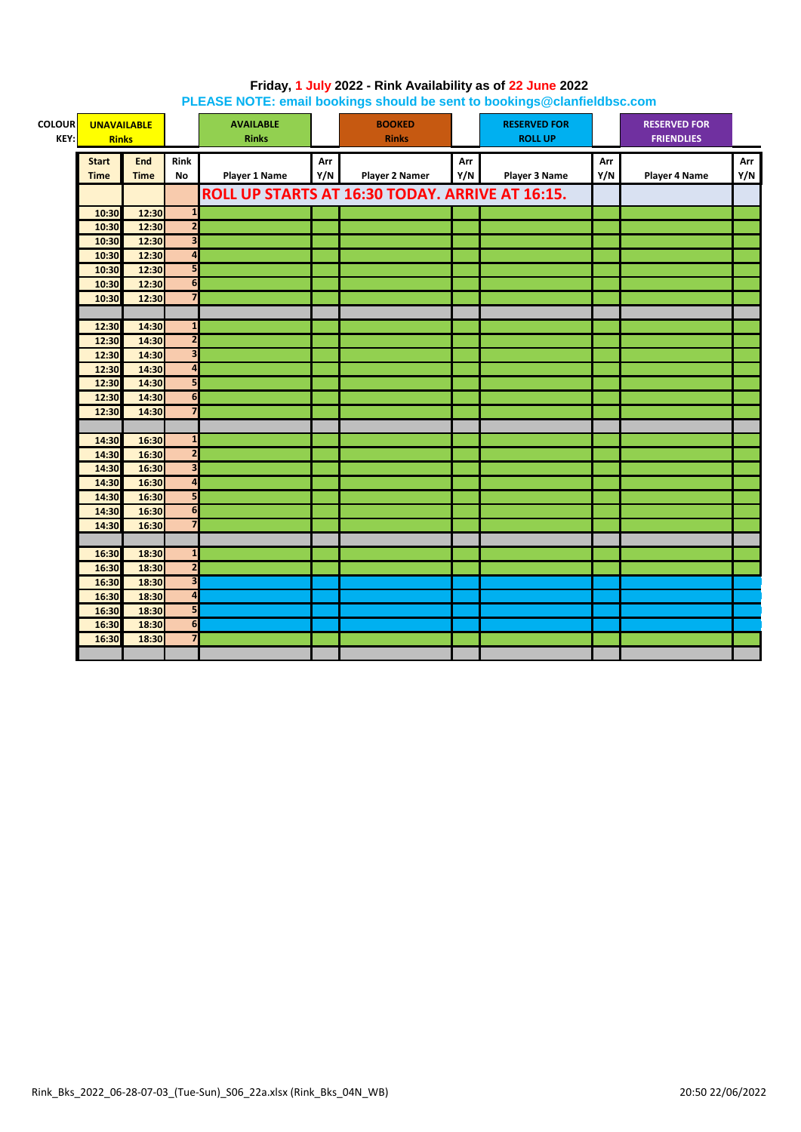| <b>COLOUR</b><br>KEY: | <b>UNAVAILABLE</b><br><b>Rinks</b> |             |                         | <b>AVAILABLE</b><br><b>Rinks</b> |     | <b>BOOKED</b><br><b>Rinks</b>                   |     | <b>RESERVED FOR</b><br><b>ROLL UP</b> |     | <b>RESERVED FOR</b><br><b>FRIENDLIES</b> |     |
|-----------------------|------------------------------------|-------------|-------------------------|----------------------------------|-----|-------------------------------------------------|-----|---------------------------------------|-----|------------------------------------------|-----|
|                       | <b>Start</b>                       | End         | <b>Rink</b>             |                                  | Arr |                                                 | Arr |                                       | Arr |                                          | Arr |
|                       | <b>Time</b>                        | <b>Time</b> | No                      | <b>Player 1 Name</b>             | Y/N | Player 2 Namer                                  | Y/N | Player 3 Name                         | Y/N | <b>Player 4 Name</b>                     | Y/N |
|                       |                                    |             |                         |                                  |     | ROLL UP STARTS AT 16:30 TODAY. ARRIVE AT 16:15. |     |                                       |     |                                          |     |
|                       | 10:30                              | 12:30       | $\mathbf{1}$            |                                  |     |                                                 |     |                                       |     |                                          |     |
|                       | 10:30                              | 12:30       | $\overline{2}$          |                                  |     |                                                 |     |                                       |     |                                          |     |
|                       | 10:30                              | 12:30       | З                       |                                  |     |                                                 |     |                                       |     |                                          |     |
|                       | 10:30                              | 12:30       | 4                       |                                  |     |                                                 |     |                                       |     |                                          |     |
|                       | 10:30                              | 12:30       | 5                       |                                  |     |                                                 |     |                                       |     |                                          |     |
|                       | 10:30                              | 12:30       | 6                       |                                  |     |                                                 |     |                                       |     |                                          |     |
|                       | 10:30                              | 12:30       | $\overline{7}$          |                                  |     |                                                 |     |                                       |     |                                          |     |
|                       |                                    |             |                         |                                  |     |                                                 |     |                                       |     |                                          |     |
|                       | 12:30                              | 14:30       | $\mathbf{1}$            |                                  |     |                                                 |     |                                       |     |                                          |     |
|                       | 12:30                              | 14:30       | $\overline{2}$          |                                  |     |                                                 |     |                                       |     |                                          |     |
|                       | 12:30                              | 14:30       | 3                       |                                  |     |                                                 |     |                                       |     |                                          |     |
|                       | 12:30                              | 14:30       | 4                       |                                  |     |                                                 |     |                                       |     |                                          |     |
|                       | 12:30                              | 14:30       | 5                       |                                  |     |                                                 |     |                                       |     |                                          |     |
|                       | 12:30                              | 14:30       | 6                       |                                  |     |                                                 |     |                                       |     |                                          |     |
|                       | 12:30                              | 14:30       | 7                       |                                  |     |                                                 |     |                                       |     |                                          |     |
|                       |                                    |             |                         |                                  |     |                                                 |     |                                       |     |                                          |     |
|                       | 14:30                              | 16:30       | $\mathbf{1}$            |                                  |     |                                                 |     |                                       |     |                                          |     |
|                       | 14:30                              | 16:30       | $\overline{\mathbf{c}}$ |                                  |     |                                                 |     |                                       |     |                                          |     |
|                       | 14:30                              | 16:30       | $\overline{\mathbf{3}}$ |                                  |     |                                                 |     |                                       |     |                                          |     |
|                       | 14:30                              | 16:30       | $\overline{\mathbf{a}}$ |                                  |     |                                                 |     |                                       |     |                                          |     |
|                       | 14:30                              | 16:30       | 5                       |                                  |     |                                                 |     |                                       |     |                                          |     |
|                       | 14:30                              | 16:30       | 6                       |                                  |     |                                                 |     |                                       |     |                                          |     |
|                       | 14:30                              | 16:30       | $\overline{7}$          |                                  |     |                                                 |     |                                       |     |                                          |     |
|                       |                                    |             |                         |                                  |     |                                                 |     |                                       |     |                                          |     |
|                       | 16:30                              | 18:30       | $\mathbf{1}$            |                                  |     |                                                 |     |                                       |     |                                          |     |
|                       | 16:30                              | 18:30       | $\overline{2}$          |                                  |     |                                                 |     |                                       |     |                                          |     |
|                       | 16:30                              | 18:30       | 3                       |                                  |     |                                                 |     |                                       |     |                                          |     |
|                       | 16:30                              | 18:30       | $\overline{\mathbf{a}}$ |                                  |     |                                                 |     |                                       |     |                                          |     |
|                       | 16:30                              | 18:30       | 5                       |                                  |     |                                                 |     |                                       |     |                                          |     |
|                       | 16:30                              | 18:30       | 6                       |                                  |     |                                                 |     |                                       |     |                                          |     |
|                       | 16:30                              | 18:30       | $\overline{\mathbf{z}}$ |                                  |     |                                                 |     |                                       |     |                                          |     |
|                       |                                    |             |                         |                                  |     |                                                 |     |                                       |     |                                          |     |

### **Friday, 1 July 2022 - Rink Availability as of 22 June 2022 PLEASE NOTE: email bookings should be sent to bookings@clanfieldbsc.com**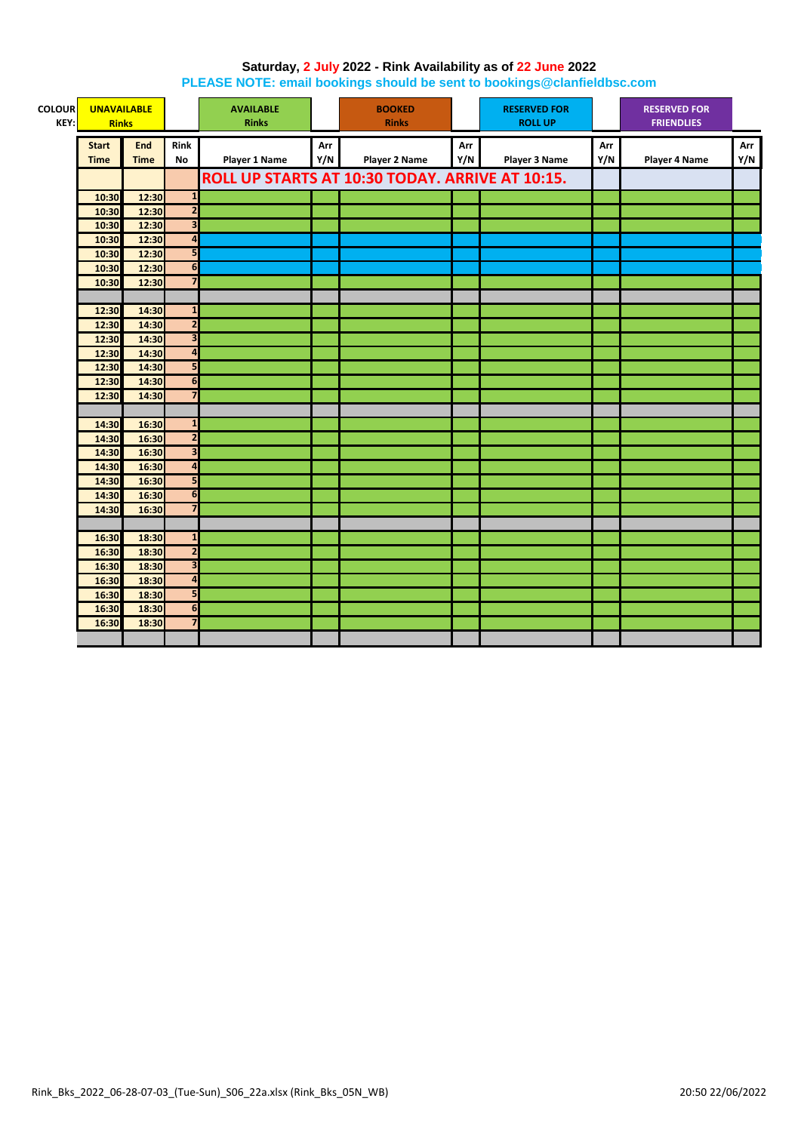#### **Saturday, 2 July 2022 - Rink Availability as of 22 June 2022 PLEASE NOTE: email bookings should be sent to bookings@clanfieldbsc.com**

| <b>COLOUR</b><br>KEY: | <b>UNAVAILABLE</b><br><b>Rinks</b> |                |                              | <b>AVAILABLE</b><br><b>Rinks</b> |     | <b>BOOKED</b><br><b>Rinks</b>                   |     | <b>RESERVED FOR</b><br><b>ROLL UP</b> |     | <b>RESERVED FOR</b><br><b>FRIENDLIES</b> |     |
|-----------------------|------------------------------------|----------------|------------------------------|----------------------------------|-----|-------------------------------------------------|-----|---------------------------------------|-----|------------------------------------------|-----|
|                       | <b>Start</b>                       | End            | <b>Rink</b>                  |                                  | Arr |                                                 | Arr |                                       | Arr |                                          | Arr |
|                       | <b>Time</b>                        | <b>Time</b>    | No                           | <b>Player 1 Name</b>             | Y/N | <b>Player 2 Name</b>                            | Y/N | Player 3 Name                         | Y/N | <b>Player 4 Name</b>                     | Y/N |
|                       |                                    |                |                              |                                  |     | ROLL UP STARTS AT 10:30 TODAY. ARRIVE AT 10:15. |     |                                       |     |                                          |     |
|                       |                                    |                |                              |                                  |     |                                                 |     |                                       |     |                                          |     |
|                       | 10:30                              | 12:30          | $\overline{\mathbf{1}}$      |                                  |     |                                                 |     |                                       |     |                                          |     |
|                       | 10:30                              | 12:30          | $\overline{\mathbf{2}}$      |                                  |     |                                                 |     |                                       |     |                                          |     |
|                       | 10:30                              | 12:30          | $\overline{\mathbf{3}}$      |                                  |     |                                                 |     |                                       |     |                                          |     |
|                       | 10:30                              | 12:30          | $\overline{\mathbf{a}}$<br>5 |                                  |     |                                                 |     |                                       |     |                                          |     |
|                       | 10:30                              | 12:30<br>12:30 | $\overline{6}$               |                                  |     |                                                 |     |                                       |     |                                          |     |
|                       | 10:30                              | 12:30          | 7                            |                                  |     |                                                 |     |                                       |     |                                          |     |
|                       | 10:30                              |                |                              |                                  |     |                                                 |     |                                       |     |                                          |     |
|                       | 12:30                              | 14:30          | $\mathbf{1}$                 |                                  |     |                                                 |     |                                       |     |                                          |     |
|                       | 12:30                              | 14:30          | $\overline{\mathbf{2}}$      |                                  |     |                                                 |     |                                       |     |                                          |     |
|                       | 12:30                              | 14:30          | $\overline{\mathbf{3}}$      |                                  |     |                                                 |     |                                       |     |                                          |     |
|                       | 12:30                              | 14:30          | $\overline{\mathbf{r}}$      |                                  |     |                                                 |     |                                       |     |                                          |     |
|                       | 12:30                              | 14:30          | 5                            |                                  |     |                                                 |     |                                       |     |                                          |     |
|                       | 12:30                              | 14:30          | 6                            |                                  |     |                                                 |     |                                       |     |                                          |     |
|                       | 12:30                              | 14:30          | $\overline{7}$               |                                  |     |                                                 |     |                                       |     |                                          |     |
|                       |                                    |                |                              |                                  |     |                                                 |     |                                       |     |                                          |     |
|                       | 14:30                              | 16:30          | $\mathbf{1}$                 |                                  |     |                                                 |     |                                       |     |                                          |     |
|                       | 14:30                              | 16:30          | $\overline{2}$               |                                  |     |                                                 |     |                                       |     |                                          |     |
|                       | 14:30                              | 16:30          | $\overline{\mathbf{3}}$      |                                  |     |                                                 |     |                                       |     |                                          |     |
|                       | 14:30                              | 16:30          | $\overline{\mathbf{a}}$      |                                  |     |                                                 |     |                                       |     |                                          |     |
|                       | 14:30                              | 16:30          | 5                            |                                  |     |                                                 |     |                                       |     |                                          |     |
|                       | 14:30                              | 16:30          | 6                            |                                  |     |                                                 |     |                                       |     |                                          |     |
|                       | 14:30                              | 16:30          | $\overline{\mathbf{z}}$      |                                  |     |                                                 |     |                                       |     |                                          |     |
|                       |                                    |                |                              |                                  |     |                                                 |     |                                       |     |                                          |     |
|                       | 16:30                              | 18:30          | $\mathbf{1}$                 |                                  |     |                                                 |     |                                       |     |                                          |     |
|                       | 16:30                              | 18:30          | $\overline{2}$               |                                  |     |                                                 |     |                                       |     |                                          |     |
|                       | 16:30                              | 18:30          | $\overline{\mathbf{3}}$      |                                  |     |                                                 |     |                                       |     |                                          |     |
|                       | 16:30                              | 18:30          | $\overline{\mathbf{r}}$      |                                  |     |                                                 |     |                                       |     |                                          |     |
|                       | 16:30                              | 18:30          | 5                            |                                  |     |                                                 |     |                                       |     |                                          |     |
|                       | 16:30                              | 18:30          | 6                            |                                  |     |                                                 |     |                                       |     |                                          |     |
|                       | 16:30                              | 18:30          | $\overline{7}$               |                                  |     |                                                 |     |                                       |     |                                          |     |
|                       |                                    |                |                              |                                  |     |                                                 |     |                                       |     |                                          |     |